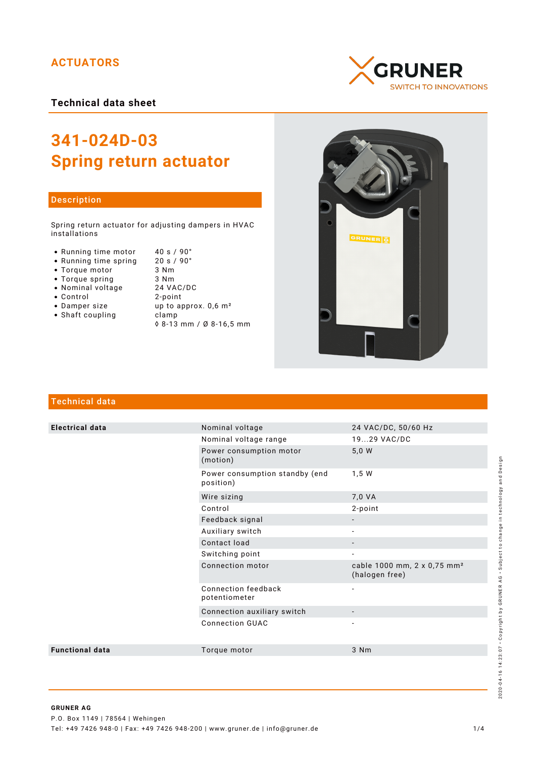# **ACTUATORS**

**Technical data sheet**



### Description

Spring return actuator for adjusting dampers in HVAC installations

- Running time motor  $40 \text{ s} / 90^{\circ}$ <br>• Running time spring  $20 \text{ s} / 90^{\circ}$
- Running time spring 20 s /<br>• Torque motor 3 Nm
- Torque motor 3 Nm
- Torque spring 3 Nm<br>• Nominal voltage 24 VAC/DC
- Nominal voltage
- 
- Control 2-point
- Shaft coupling becamp
- up to approx.  $0,6$  m<sup>2</sup>
	- ◊ 8-13 mm / Ø 8-16,5 mm





## Technical data

| <b>Electrical data</b> | Nominal voltage                             | 24 VAC/DC, 50/60 Hz                                       |
|------------------------|---------------------------------------------|-----------------------------------------------------------|
|                        | Nominal voltage range                       | 1929 VAC/DC                                               |
|                        | Power consumption motor<br>(motion)         | 5,0 W                                                     |
|                        | Power consumption standby (end<br>position) | 1,5 W                                                     |
|                        | Wire sizing                                 | 7,0 VA                                                    |
|                        | Control                                     | 2-point                                                   |
|                        | Feedback signal                             |                                                           |
|                        | Auxiliary switch                            |                                                           |
|                        | Contact load                                | $\overline{\phantom{a}}$                                  |
|                        | Switching point                             | $\overline{\phantom{a}}$                                  |
|                        | Connection motor                            | cable 1000 mm, 2 x 0,75 mm <sup>2</sup><br>(halogen free) |
|                        | Connection feedback<br>potentiometer        | $\overline{\phantom{a}}$                                  |
|                        | Connection auxiliary switch                 |                                                           |
|                        | <b>Connection GUAC</b>                      |                                                           |
| <b>Functional data</b> | Torque motor                                | 3 Nm                                                      |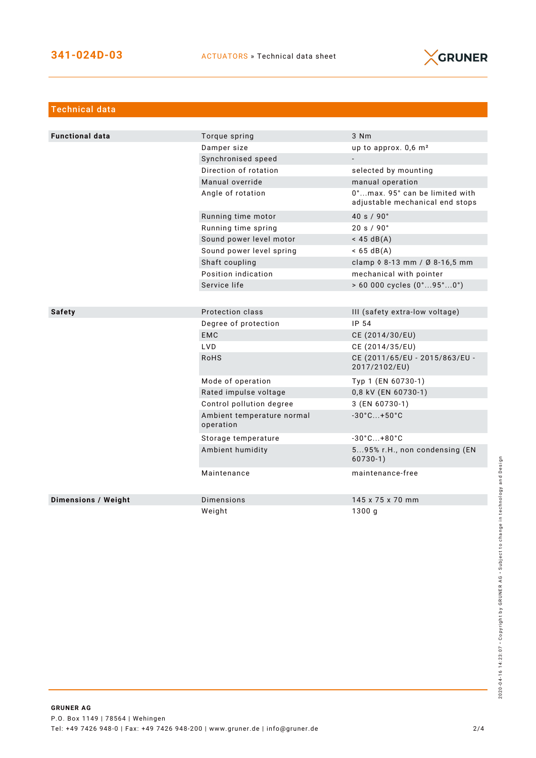

| <b>Technical data</b>      |                                         |                                                                   |
|----------------------------|-----------------------------------------|-------------------------------------------------------------------|
|                            |                                         |                                                                   |
| <b>Functional data</b>     | Torque spring                           | 3 Nm                                                              |
|                            | Damper size                             | up to approx. $0,6$ m <sup>2</sup>                                |
|                            | Synchronised speed                      | $\blacksquare$                                                    |
|                            | Direction of rotation                   | selected by mounting                                              |
|                            | Manual override                         | manual operation                                                  |
|                            | Angle of rotation                       | 0°max. 95° can be limited with<br>adjustable mechanical end stops |
|                            | Running time motor                      | 40 s $/90^{\circ}$                                                |
|                            | Running time spring                     | 20 s / 90°                                                        |
|                            | Sound power level motor                 | $<$ 45 dB(A)                                                      |
|                            | Sound power level spring                | $< 65 \text{ dB(A)}$                                              |
|                            | Shaft coupling                          | clamp 0 8-13 mm / Ø 8-16,5 mm                                     |
|                            | Position indication                     | mechanical with pointer                                           |
|                            | Service life                            | > 60 000 cycles (0°95°0°)                                         |
|                            |                                         |                                                                   |
| <b>Safety</b>              | Protection class                        | III (safety extra-low voltage)                                    |
|                            | Degree of protection                    | IP 54                                                             |
|                            | <b>EMC</b>                              | CE (2014/30/EU)                                                   |
|                            | <b>LVD</b>                              | CE (2014/35/EU)                                                   |
|                            | <b>RoHS</b>                             | CE (2011/65/EU - 2015/863/EU -<br>2017/2102/EU)                   |
|                            | Mode of operation                       | Typ 1 (EN 60730-1)                                                |
|                            | Rated impulse voltage                   | 0,8 kV (EN 60730-1)                                               |
|                            | Control pollution degree                | 3 (EN 60730-1)                                                    |
|                            | Ambient temperature normal<br>operation | $-30^{\circ}$ C +50 $^{\circ}$ C                                  |
|                            | Storage temperature                     | $-30^{\circ}$ C +80 $^{\circ}$ C                                  |
|                            | Ambient humidity                        | 595% r.H., non condensing (EN<br>$60730-1)$                       |
|                            | Maintenance                             | maintenance-free                                                  |
| <b>Dimensions / Weight</b> | Dimensions                              | 145 x 75 x 70 mm                                                  |
|                            | Weight                                  | 1300q                                                             |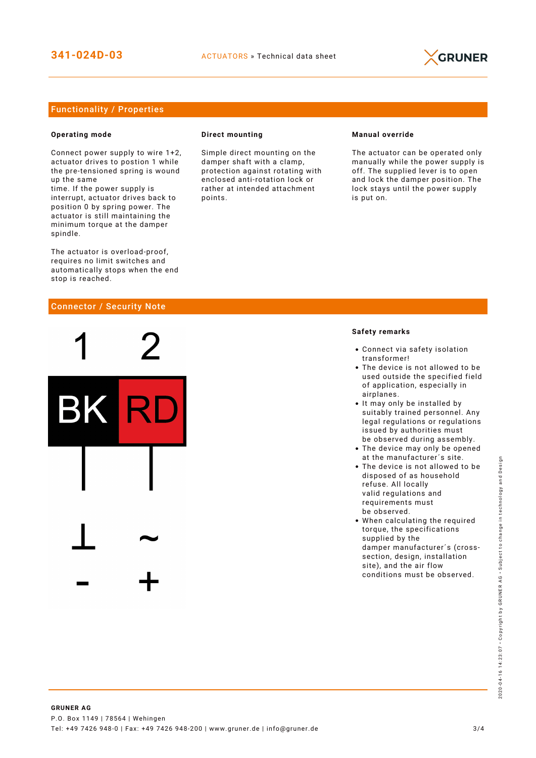

### Functionality / Properties

#### **Operating mode**

Connect power supply to wire 1+2, actuator drives to postion 1 while the pre-tensioned spring is wound up the same

time. If the power supply is interrupt, actuator drives back to position 0 by spring power. The actuator is still maintaining the minimum torque at the damper spindle.

The actuator is overload-proof, requires no limit switches and automatically stops when the end stop is reached.

#### Connector / Security Note



#### **Direct mounting**

Simple direct mounting on the damper shaft with a clamp, protection against rotating with enclosed anti-rotation lock or rather at intended attachment points.

#### **Manual override**

The actuator can be operated only manually while the power supply is off. The supplied lever is to open and lock the damper position. The lock stays until the power supply is put on.

#### **Safety remarks**

- Connect via safety isolation transformer!
- The device is not allowed to be used outside the specified field of application, especially in airplanes.
- It may only be installed by suitably trained personnel. Any legal regulations or regulations issued by authorities must be observed during assembly.
- The device may only be opened at the manufacturer´s site.
- The device is not allowed to be disposed of as household refuse. All locally valid regulations and requirements must be observed.
- When calculating the required torque, the specifications supplied by the damper manufacturer´s (crosssection, design, installation site), and the air flow conditions must be observed.